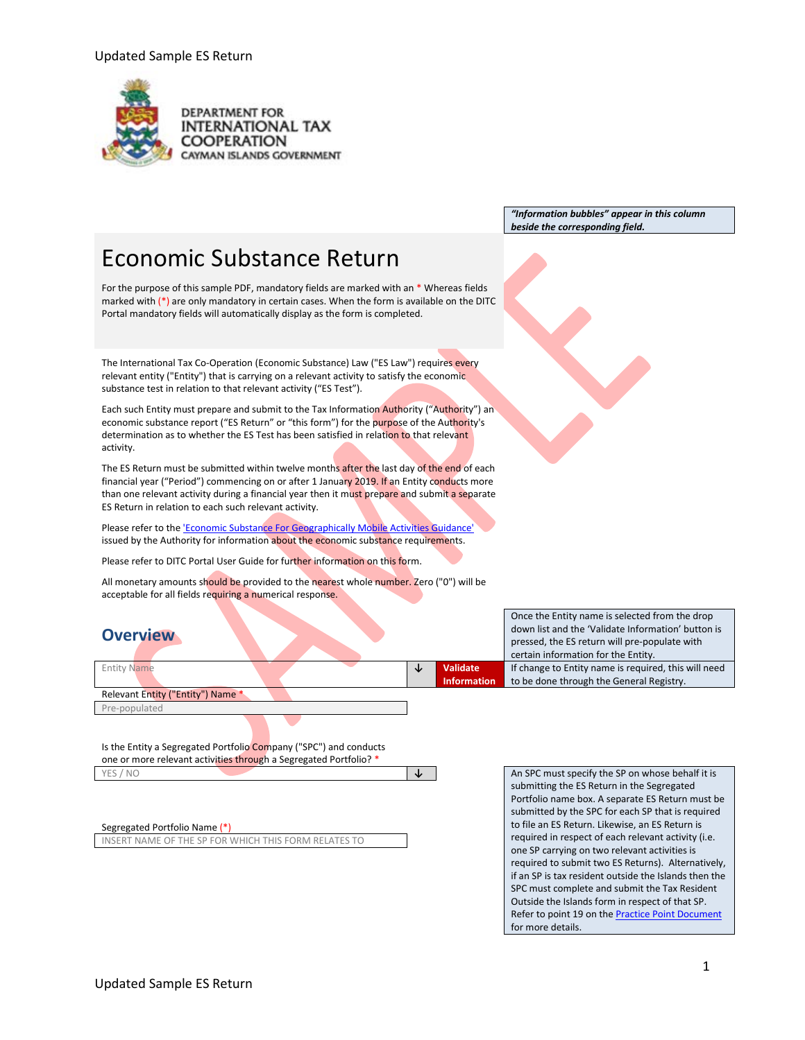

**DEPARTMENT FOR INTERNATIONAL TAX COOPERATION** CAYMAN ISLANDS GOVERNMENT

> *"Information bubbles" appear in this column beside the corresponding field.*

# Economic Substance Return

For the purpose of this sample PDF, mandatory fields are marked with an \* Whereas fields marked with  $(*)$  are only mandatory in certain cases. When the form is available on the DITC Portal mandatory fields will automatically display as the form is completed.

The International Tax Co-Operation (Economic Substance) Law ("ES Law") requires every relevant entity ("Entity") that is carrying on a relevant activity to satisfy the economic substance test in relation to that relevant activity ("ES Test").

Each such Entity must prepare and submit to the Tax Information Authority ("Authority") an economic substance report ("ES Return" or "this form") for the purpose of the Authority's determination as to whether the ES Test has been satisfied in relation to that relevant activity.

The ES Return must be submitted within twelve months after the last day of the end of each financial year ("Period") commencing on or after 1 January 2019. If an Entity conducts more than one relevant activity during a financial year then it must prepare and submit a separate ES Return in relation to each such relevant activity.

Please refer to th[e 'Economic Substance For Geographically Mobile Activities Guidance'](https://www.ditc.ky/wp-content/uploads/Economic_Substance_-_Guidance_-_v3.0190713.pdf) issued by the Authority for information about the economic substance requirements.

Please refer to DITC Portal User Guide for further information on this form.

All monetary amounts should be provided to the nearest whole number. Zero ("0") will be acceptable for all fields requiring a numerical response.

# **Overview**

|                                   |  |                       | certain information for the Entity.        |
|-----------------------------------|--|-----------------------|--------------------------------------------|
| <b>Entity Name</b>                |  | Validate <sup>1</sup> | If change to Entity name is required, this |
|                                   |  | <b>Information</b>    | to be done through the General Registry    |
| Relevant Entity ("Entity") Name * |  |                       |                                            |

Pre-populated

Is the Entity a Segregated Portfolio Company ("SPC") and conducts one or more relevant activities through a Segregated Portfolio? \*

Segregated Portfolio Name (\*)

INSERT NAME OF THE SP FOR WHICH THIS FORM RELATES TO

Once the Entity name is selected from the drop down list and the 'Validate Information' button is pressed, the ES return will pre-populate with s will need to be done through the General Registry.

YES / NO **↓** An SPC must specify the SP on whose behalf it is submitting the ES Return in the Segregated Portfolio name box. A separate ES Return must be submitted by the SPC for each SP that is required to file an ES Return. Likewise, an ES Return is required in respect of each relevant activity (i.e. one SP carrying on two relevant activities is required to submit two ES Returns). Alternatively, if an SP is tax resident outside the Islands then the SPC must complete and submit the Tax Resident Outside the Islands form in respect of that SP. Refer to point 19 on the **Practice Point Document** for more details.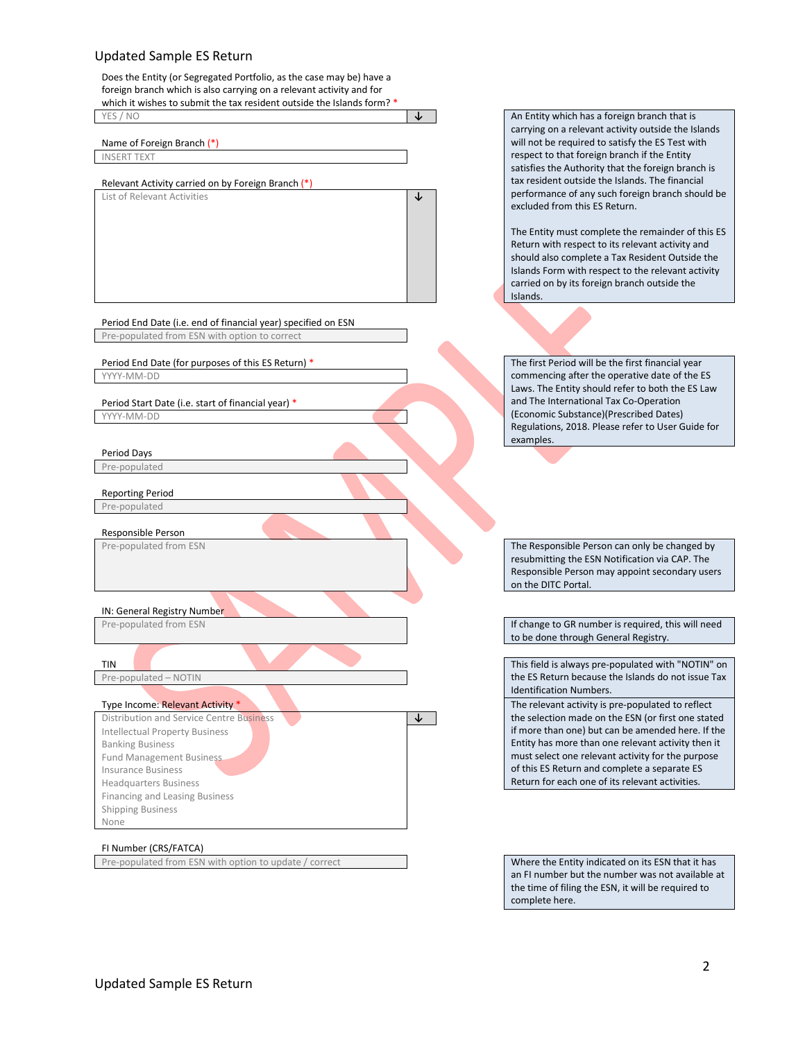Does the Entity (or Segregated Portfolio, as the case may be) have a foreign branch which is also carrying on a relevant activity and for which it wishes to submit the tax resident outside the Islands form? \* YES / NO **↓** An Entity which has a foreign branch that is

List of Relevant Activities **↓** 

Name of Foreign Branch (\*)

INSERT TEXT

Relevant Activity carried on by Foreign Branch (\*)

Period End Date (i.e. end of financial year) specified on ESN Pre-populated from ESN with option to correct

Period End Date (for purposes of this ES Return) \* The first Period will be the first financial year YYYY-MM-DD

Period Start Date (i.e. start of financial year) \*

YYYY-MM-DD

Period Days Pre-populated

Reporting Period

Pre-populated

Responsible Person

IN: General Registry Number

Pre-populated – NOTIN

Distribution and Service Centre Business **↓** Intellectual Property Business Banking Business Fund Management Business Insurance Business Headquarters Business Financing and Leasing Business Shipping Business None

#### FI Number (CRS/FATCA)

Pre-populated from ESN with option to update / correct When the Entity indicated on its ESN that it has

carrying on a relevant activity outside the Islands will not be required to satisfy the ES Test with respect to that foreign branch if the Entity satisfies the Authority that the foreign branch is tax resident outside the Islands. The financial performance of any such foreign branch should be excluded from this ES Return.

The Entity must complete the remainder of this ES Return with respect to its relevant activity and should also complete a Tax Resident Outside the Islands Form with respect to the relevant activity carried on by its foreign branch outside the Islands.

commencing after the operative date of the ES Laws. The Entity should refer to both the ES Law and The International Tax Co-Operation (Economic Substance)(Prescribed Dates) Regulations, 2018. Please refer to User Guide for examples.

Pre-populated from ESN The Responsible Person can only be changed by resubmitting the ESN Notification via CAP. The Responsible Person may appoint secondary users on the DITC Portal.

Pre-populated from ESN **If change to GR number is required, this will need** to be done through General Registry.

This field is always pre-populated with "NOTIN" on the ES Return because the Islands do not issue Tax Identification Numbers.

Type Income: Relevant Activity \* The relevant activity is pre-populated to reflect the selection made on the ESN (or first one stated if more than one) but can be amended here. If the Entity has more than one relevant activity then it must select one relevant activity for the purpose of this ES Return and complete a separate ES Return for each one of its relevant activities.

> an FI number but the number was not available at the time of filing the ESN, it will be required to complete here.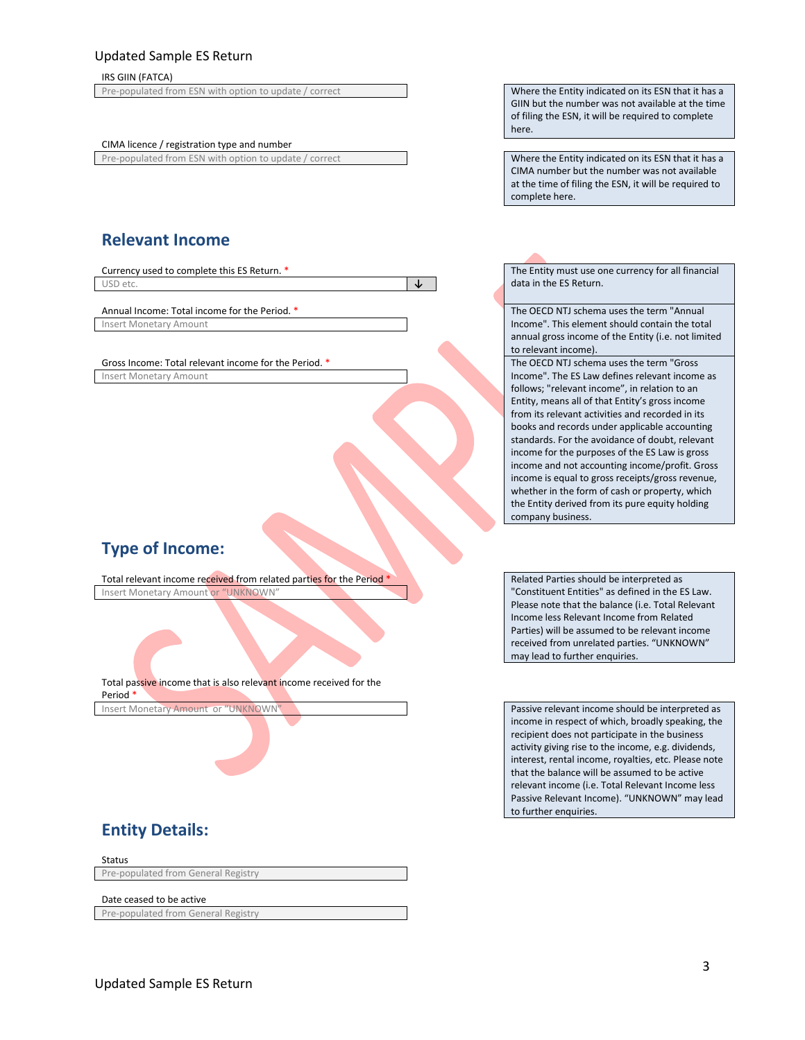#### IRS GIIN (FATCA)

Pre-populated from ESN with option to update / correct Where the Entity indicated on its ESN that it has a

CIMA licence / registration type and number

Pre-populated from ESN with option to update / correct Where the Entity indicated on its ESN that it has a

**Relevant Income**

Currency used to complete this ES Return. \* The Entity must use one currency for all financial USD etc. **↓** data in the ES Return.

Insert Monetary Amount

Gross Income: Total relevant income for the Period. \* The OECD NTJ schema uses the term "Gross Insert Monetary Amount

# **Type of Income:**

Total relevant income received from related parties for the Period \* Related Parties should be interpreted as Insert Monetary Amount or "UNKNOWN"

Total passive income that is also relevant income received for the Period \*

GIIN but the number was not available at the time of filing the ESN, it will be required to complete here.

CIMA number but the number was not available at the time of filing the ESN, it will be required to complete here.

Annual Income: Total income for the Period. \* The OECD NTJ schema uses the term "Annual" Income". This element should contain the total annual gross income of the Entity (i.e. not limited to relevant income).

> Income". The ES Law defines relevant income as follows; "relevant income", in relation to an Entity, means all of that Entity's gross income from its relevant activities and recorded in its books and records under applicable accounting standards. For the avoidance of doubt, relevant income for the purposes of the ES Law is gross income and not accounting income/profit. Gross income is equal to gross receipts/gross revenue, whether in the form of cash or property, which the Entity derived from its pure equity holding company business.

"Constituent Entities" as defined in the ES Law. Please note that the balance (i.e. Total Relevant Income less Relevant Income from Related Parties) will be assumed to be relevant income received from unrelated parties. "UNKNOWN" may lead to further enquiries.

Insert Monetary Amount or "UNKNOWN" Noted as a series of the passive relevant income should be interpreted as income in respect of which, broadly speaking, the recipient does not participate in the business activity giving rise to the income, e.g. dividends, interest, rental income, royalties, etc. Please note that the balance will be assumed to be active relevant income (i.e. Total Relevant Income less Passive Relevant Income). "UNKNOWN" may lead to further enquiries.

# **Entity Details:**

Status Pre-populated from General Registry

Date ceased to be active Pre-populated from General Registry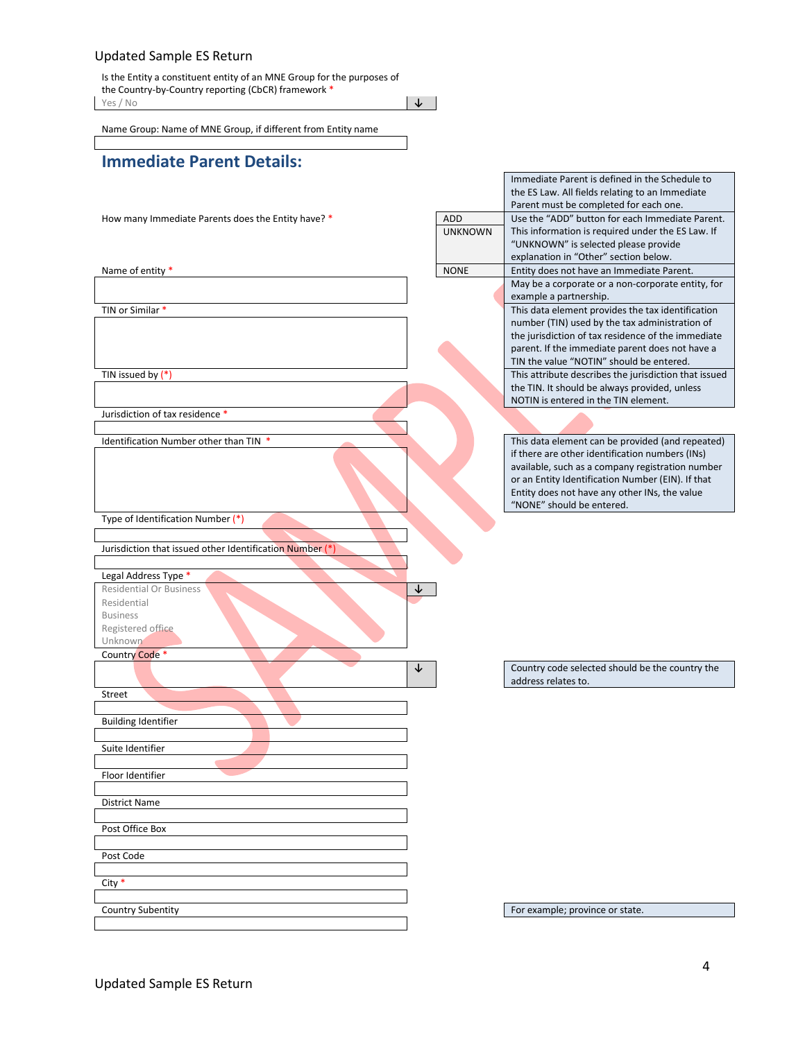Is the Entity a constituent entity of an MNE Group for the purposes of the Country-by-Country reporting (CbCR) framework \* Yes / No **↓**

Name Group: Name of MNE Group, if different from Entity name

# **Immediate Parent Details:**

Jurisdiction of tax residence \*

Type of Identification Number (\*)

Jurisdiction that issued other Identification Number (\*)

Legal Address Type \* Residential Or Business **↓** Residential Business Registered office Unknown Country Code \* Street Building Identifier Suite Identifier Floor Identifier District Name

Post Office Box

Post Code

City \*

the ES Law. All fields relating to an Immediate Parent must be completed for each one. How many Immediate Parents does the Entity have? \* ADD ADD Use the "ADD" button for each Immediate Parent. This information is required under the ES Law. If "UNKNOWN" is selected please provide explanation in "Other" section below. UNKNOWN Name of entity \* None is a set of entity  $\blacksquare$  NONE Entity does not have an Immediate Parent. May be a corporate or a non-corporate entity, for example a partnership. TIN or Similar \* This data element provides the tax identification number (TIN) used by the tax administration of the jurisdiction of tax residence of the immediate parent. If the immediate parent does not have a TIN the value "NOTIN" should be entered. This attribute describes the jurisdiction that issued by (\*) the TIN. It should be always provided, unless NOTIN is entered in the TIN element.

Immediate Parent is defined in the Schedule to

Identification Number other than TIN \* This data element can be provided (and repeated) if there are other identification numbers (INs) available, such as a company registration number or an Entity Identification Number (EIN). If that Entity does not have any other INs, the value "NONE" should be entered.

> ↓ │ Country code selected should be the country the address relates to.

Country Subentity **For example**; province or state.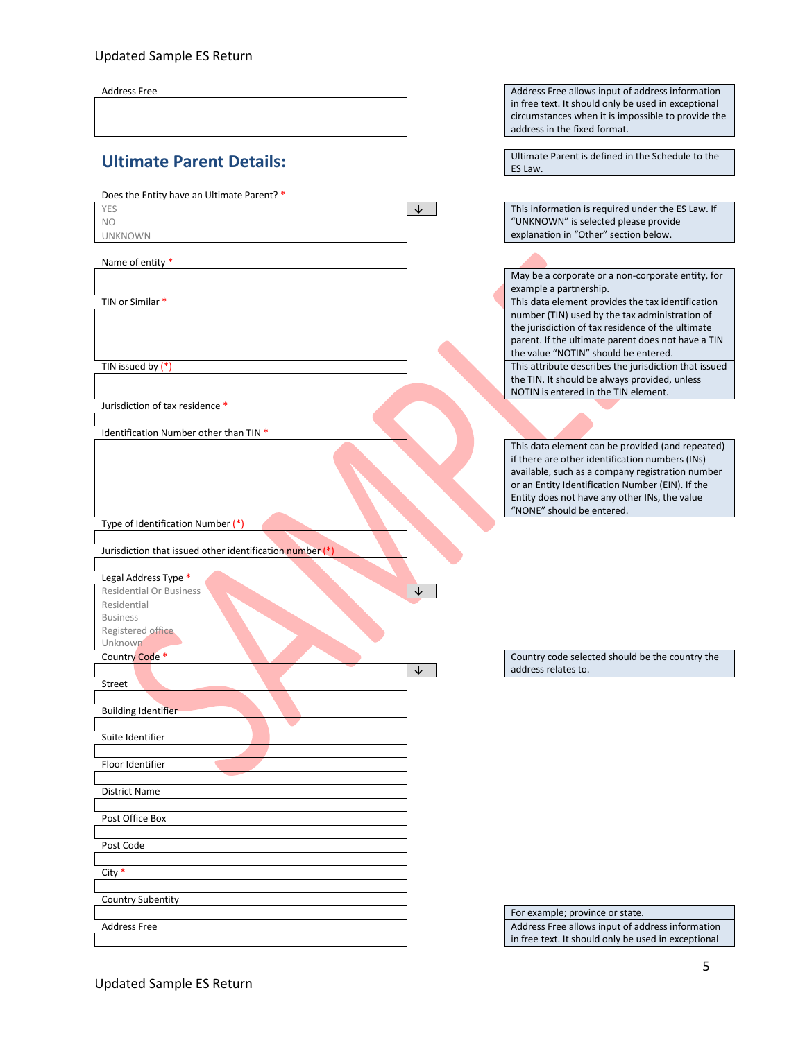Address Free Address Free allows input of address information

| <b>Ultimate Parent Details:</b> |  |
|---------------------------------|--|
|                                 |  |

# Does the Entity have an Ultimate Parent? \* YES **↓** This information is required under the ES Law. If NO UNKNOWN Name of entity \* TIN or Similar \* This data element provides the tax identification This attribute describes the jurisdiction that issued by (\*) This attribute describes the jurisdiction that issued Jurisdiction of tax residence \* Identification Number other than TIN \*

Type of Identification Number (\*)

Jurisdiction that issued other identification number (\*)

Legal Address Type \* Residential Or Business **↓**

| Residential                |  |
|----------------------------|--|
| <b>Business</b>            |  |
| Registered office          |  |
| Unknown                    |  |
| Country Code *             |  |
|                            |  |
| Street                     |  |
|                            |  |
| <b>Building Identifier</b> |  |
|                            |  |
| Suite Identifier           |  |
|                            |  |
| Floor Identifier           |  |
|                            |  |
| <b>District Name</b>       |  |
|                            |  |
| Post Office Box            |  |
|                            |  |
| Post Code                  |  |
|                            |  |
| City *                     |  |
|                            |  |
| Country Subentity          |  |
|                            |  |
| <b>Address Free</b>        |  |
|                            |  |

in free text. It should only be used in exceptional circumstances when it is impossible to provide the address in the fixed format. Ultimate Parent is defined in the Schedule to the ES Law.

"UNKNOWN" is selected please provide explanation in "Other" section below.

May be a corporate or a non-corporate entity, for example a partnership.

number (TIN) used by the tax administration of the jurisdiction of tax residence of the ultimate parent. If the ultimate parent does not have a TIN the value "NOTIN" should be entered. the TIN. It should be always provided, unless NOTIN is entered in the TIN element.

This data element can be provided (and repeated) if there are other identification numbers (INs) available, such as a company registration number or an Entity Identification Number (EIN). If the Entity does not have any other INs, the value "NONE" should be entered.

Country code selected should be the country the **↓** address relates to.

For example; province or state. Address Free allows input of address information in free text. It should only be used in exceptional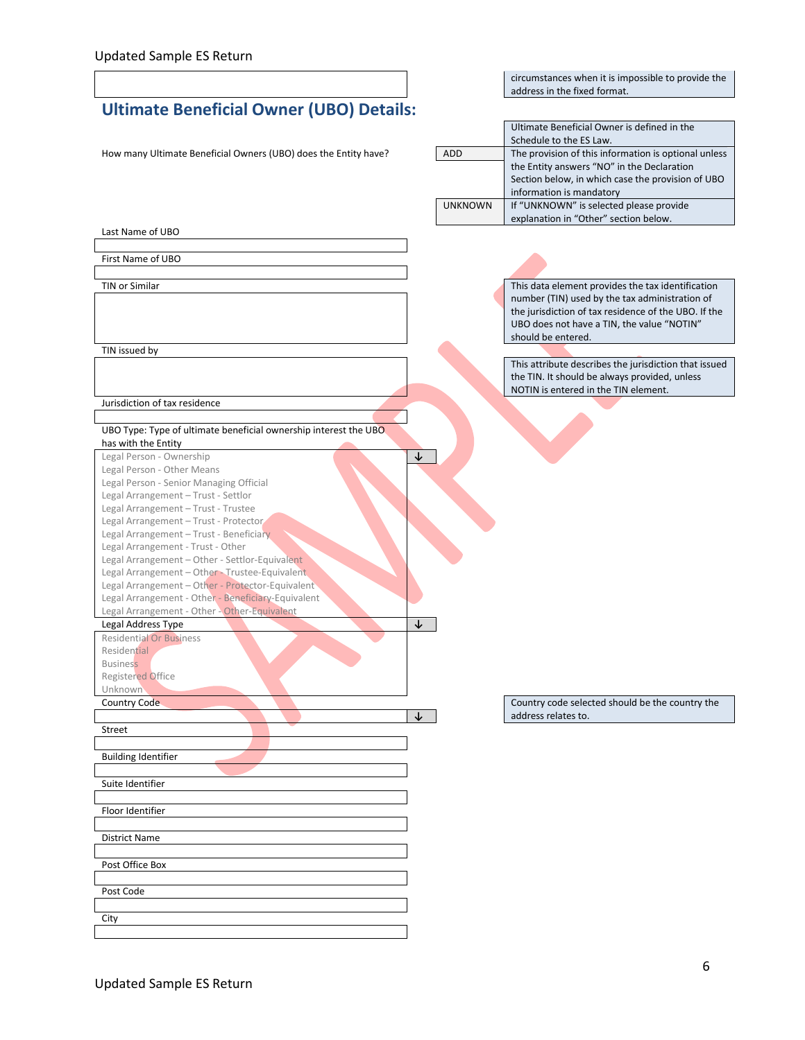# circumstances when it is impossible to provide the address in the fixed format. **Ultimate Beneficial Owner (UBO) Details:**  Ultimate Beneficial Owner is defined in the Schedule to the ES Law.<br>The provision of this information is optional unless How many Ultimate Beneficial Owners (UBO) does the Entity have? ADD the Entity answers "NO" in the Declaration Section below, in which case the provision of UBO information is mandatory UNKNOWN If "UNKNOWN" is selected please provide explanation in "Other" section below. Last Name of UBO First Name of UBO TIN or Similar This data element provides the tax identification number (TIN) used by the tax administration of the jurisdiction of tax residence of the UBO. If the UBO does not have a TIN, the value "NOTIN" should be entered. TIN issued by This attribute describes the jurisdiction that issued the TIN. It should be always provided, unless NOTIN is entered in the TIN element. Jurisdiction of tax residence UBO Type: Type of ultimate beneficial ownership interest the UBO has with the Entity Legal Person - Ownership **↓** Legal Person - Other Means Legal Person - Senior Managing Official Legal Arrangement – Trust - Settlor Legal Arrangement – Trust - Trustee Legal Arrangement – Trust - Protector Legal Arrangement – Trust - Beneficiary Legal Arrangement - Trust - Other Legal Arrangement – Other - Settlor-Equivalent Legal Arrangement – Other - Trustee-Equivalent Legal Arrangement – Other - Protector-Equivalent Legal Arrangement - Other - Beneficiary-Equivalent Legal Arrangement - Other - Other-Equivalent Legal Address Type **↓** Residential Or Business Residential **Business** Registered Office Unknown Country Code Country code selected should be the country the Country code selected should be the country the **↓** address relates to. Street Building Identifier Suite Identifier Floor Identifier District Name Post Office Box Post Code

**City**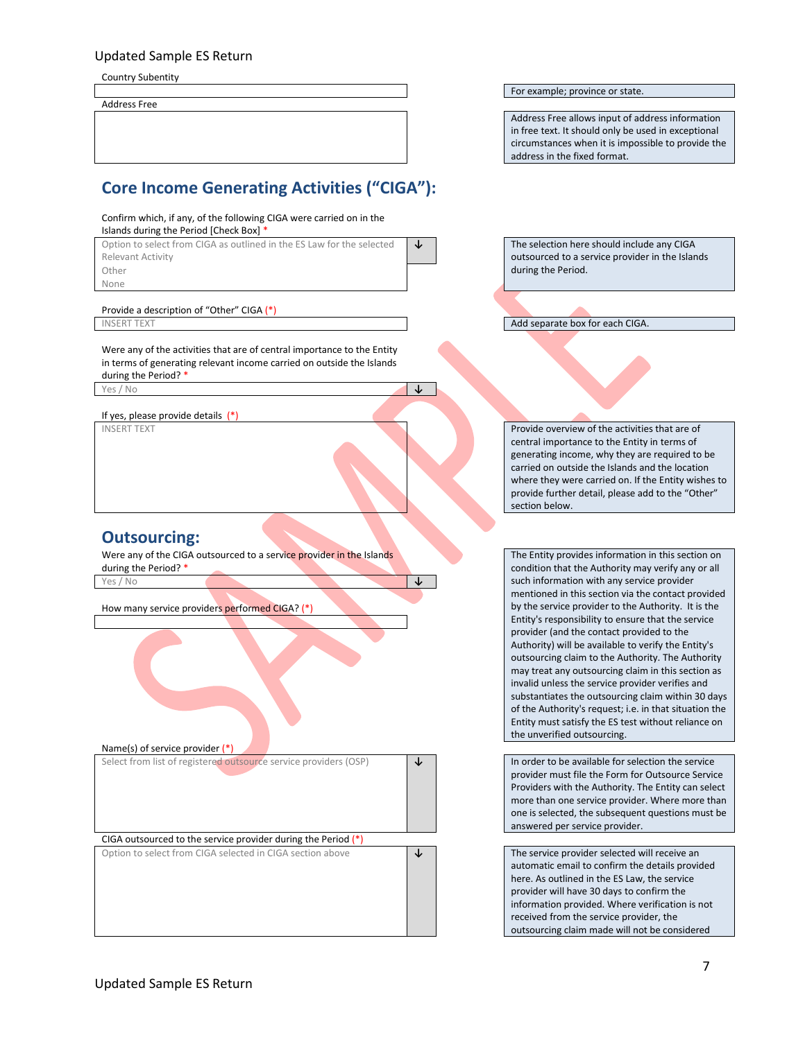Country Subentity

Address Free

# **Core Income Generating Activities ("CIGA"):**

#### Confirm which, if any, of the following CIGA were carried on in the

Islands during the Period [Check Box] \* Option to select from CIGA as outlined in the ES Law for the selected Relevant Activity Other during the Period. None

Provide a description of "Other" CIGA (\*)<br>INSERT TEXT

Were any of the activities that are of central importance to the Entity in terms of generating relevant income carried on outside the Islands during the Period? \* Yes / No **↓**

If yes, please provide details (\*)

# **Outsourcing:**

Were any of the CIGA outsourced to a service provider in the Islands during the Period? \* Yes / No **↓**

How many service providers performed CIGA? (\*)



For example; province or state.

Address Free allows input of address information in free text. It should only be used in exceptional circumstances when it is impossible to provide the address in the fixed format.

**↓** The selection here should include any CIGA outsourced to a service provider in the Islands

Add separate box for each CIGA.

INSERT TEXT **Provide overview of the activities that are of**  $\blacksquare$ central importance to the Entity in terms of generating income, why they are required to be carried on outside the Islands and the location where they were carried on. If the Entity wishes to provide further detail, please add to the "Other" section below.

> The Entity provides information in this section on condition that the Authority may verify any or all such information with any service provider mentioned in this section via the contact provided by the service provider to the Authority. It is the Entity's responsibility to ensure that the service provider (and the contact provided to the Authority) will be available to verify the Entity's outsourcing claim to the Authority. The Authority may treat any outsourcing claim in this section as invalid unless the service provider verifies and substantiates the outsourcing claim within 30 days of the Authority's request; i.e. in that situation the Entity must satisfy the ES test without reliance on the unverified outsourcing.

> provider must file the Form for Outsource Service Providers with the Authority. The Entity can select more than one service provider. Where more than one is selected, the subsequent questions must be answered per service provider.

automatic email to confirm the details provided here. As outlined in the ES Law, the service provider will have 30 days to confirm the information provided. Where verification is not received from the service provider, the outsourcing claim made will not be considered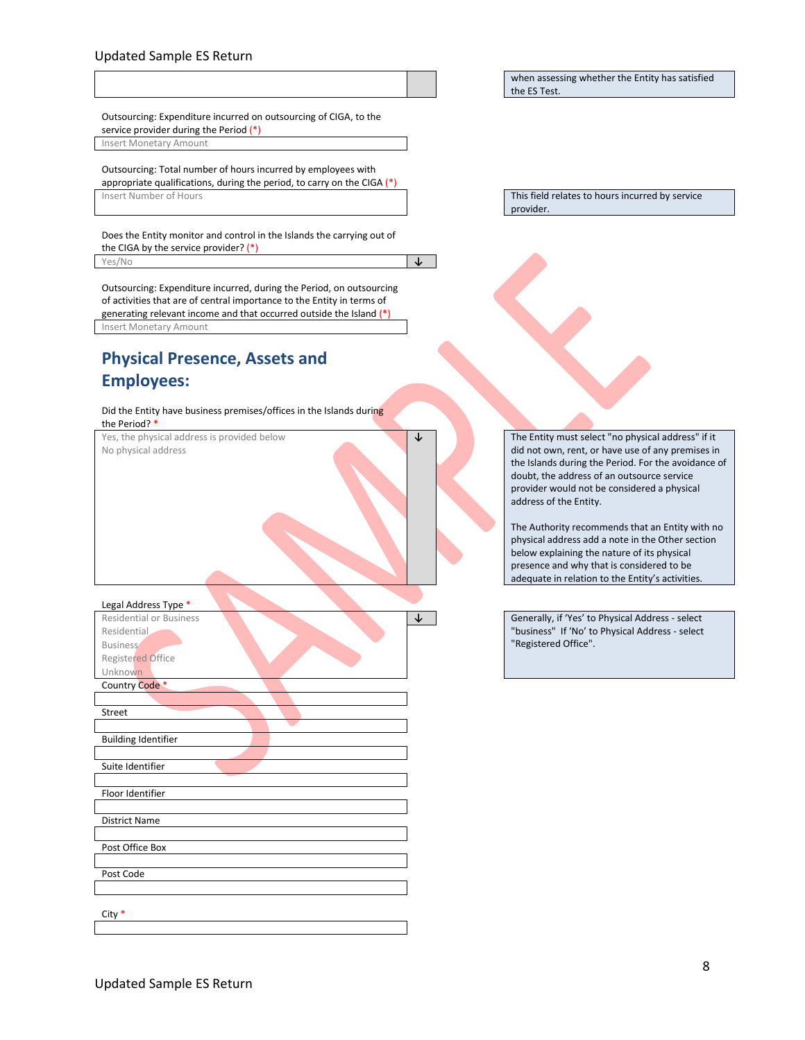#### when assessing whether the Entity has satisfied the ES Test.

Outsourcing: Expenditure incurred on outsourcing of CIGA, to the service provider during the Period (\*)

Insert Monetary Amount

Outsourcing: Total number of hours incurred by employees with appropriate qualifications, during the period, to carry on the CIGA  $(*)$ Insert Number of Hours This field relates to hours incurred by service

Does the Entity monitor and control in the Islands the carrying out of the CIGA by the service provider? (\*)

Yes/No **↓**

Outsourcing: Expenditure incurred, during the Period, on outsourcing of activities that are of central importance to the Entity in terms of generating relevant income and that occurred outside the Island (\*) Insert Monetary Amount

# **Physical Presence, Assets and Employees:**

Did the Entity have business premises/offices in the Islands during the Period? \*

Yes, the physical address is provided below No physical address

Legal Address Type \*

| Legal Address Type             |   |
|--------------------------------|---|
| <b>Residential or Business</b> | ↓ |
| Residential.                   |   |
| <b>Business</b>                |   |
| Registered Office              |   |
| Unknown                        |   |
| Country Code *                 |   |
|                                |   |
| Street                         |   |
|                                |   |
| <b>Building Identifier</b>     |   |
|                                |   |
| Suite Identifier               |   |
|                                |   |
| Floor Identifier               |   |
|                                |   |
| <b>District Name</b>           |   |
|                                |   |
| Post Office Box                |   |
|                                |   |
| Post Code                      |   |
|                                |   |
|                                |   |
| City $*$                       |   |
|                                |   |

provider.

**↓** The Entity must select "no physical address" if it did not own, rent, or have use of any premises in the Islands during the Period. For the avoidance of doubt, the address of an outsource service provider would not be considered a physical address of the Entity.

> The Authority recommends that an Entity with no physical address add a note in the Other section below explaining the nature of its physical presence and why that is considered to be adequate in relation to the Entity's activities.

**Generally, if 'Yes' to Physical Address - select** "business" If 'No' to Physical Address - select "Registered Office".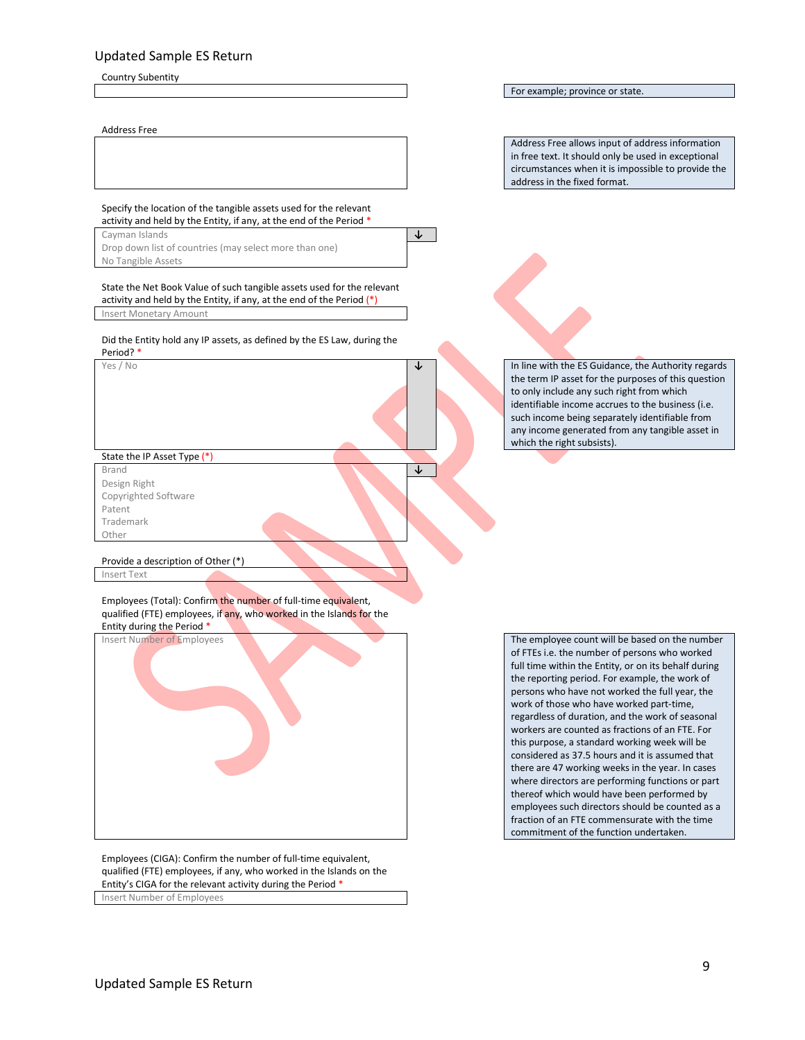Country Subentity

#### Address Free

For example; province or state.

Address Free allows input of address information in free text. It should only be used in exceptional circumstances when it is impossible to provide the address in the fixed format.

Specify the location of the tangible assets used for the relevant activity and held by the Entity, if any, at the end of the Period \*

Cayman Islands **↓** Drop down list of countries (may select more than one) No Tangible Assets

State the Net Book Value of such tangible assets used for the relevant activity and held by the Entity, if any, at the end of the Period (\*) Insert Monetary Amount

Did the Entity hold any IP assets, as defined by the ES Law, during the Period? \*

State the IP Asset Type (\*) Brand **↓**

Design Right Copyrighted Software Patent Trademark Other

Provide a description of Other (\*)

Insert Text

Employees (Total): Confirm the number of full-time equivalent, qualified (FTE) employees, if any, who worked in the Islands for the Entity during the Period \*



Employees (CIGA): Confirm the number of full-time equivalent, qualified (FTE) employees, if any, who worked in the Islands on the Entity's CIGA for the relevant activity during the Period \* Insert Number of Employees

Yes / No **↓** In line with the ES Guidance, the Authority regards the term IP asset for the purposes of this question to only include any such right from which identifiable income accrues to the business (i.e. such income being separately identifiable from any income generated from any tangible asset in which the right subsists).

> of FTEs i.e. the number of persons who worked full time within the Entity, or on its behalf during the reporting period. For example, the work of persons who have not worked the full year, the work of those who have worked part-time, regardless of duration, and the work of seasonal workers are counted as fractions of an FTE. For this purpose, a standard working week will be considered as 37.5 hours and it is assumed that there are 47 working weeks in the year. In cases where directors are performing functions or part thereof which would have been performed by employees such directors should be counted as a fraction of an FTE commensurate with the time commitment of the function undertaken.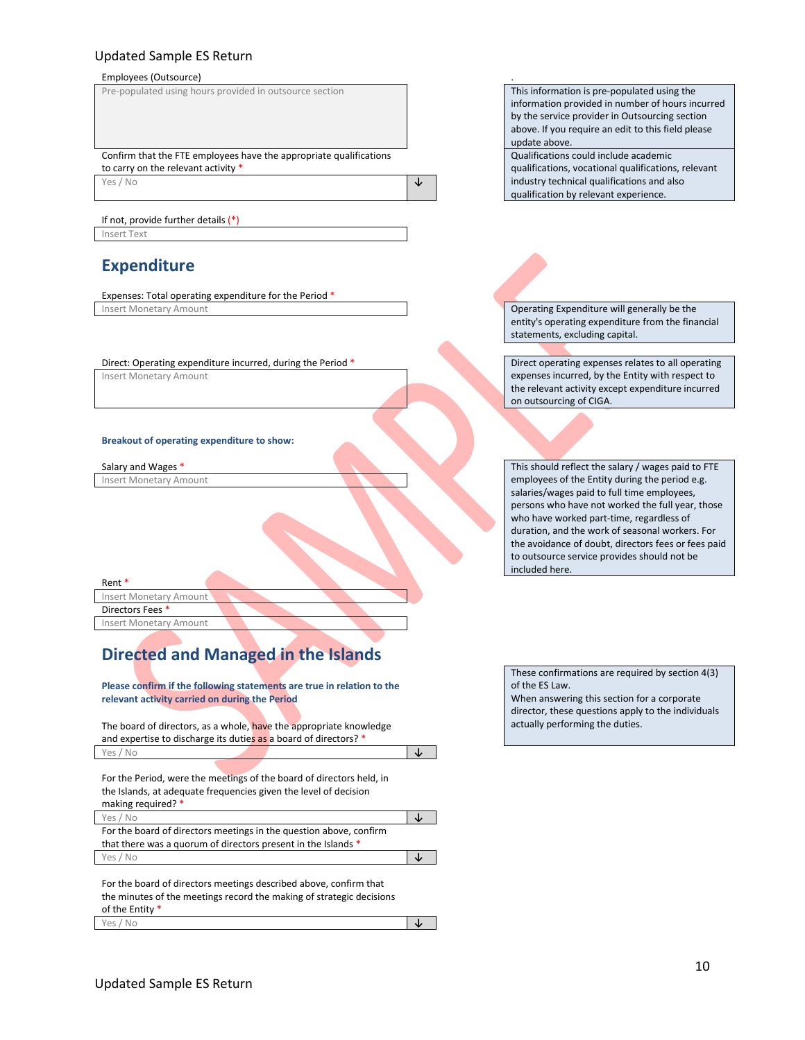#### Employees (Outsource) .



If not, provide further details (\*) Insert Text

# **Expenditure**

Expenses: Total operating expenditure for the Period \* Insert Monetary Amount **Operating Expenditure will generally be the** 

#### Direct: Operating expenditure incurred, during the Period \* Direct operating expenses relates to all operating

Insert Monetary Amount

#### **Breakout of operating expenditure to show:**

Insert Monetary Amount

Rent \*

Insert Monetary Amount Directors Fees

Insert Monetary Amount

# **Directed and Managed in the Islands**

**Please confirm if the following statements are true in relation to the relevant activity carried on during the Period**

The board of directors, as a whole, have the appropriate knowledge and expertise to discharge its duties as a board of directors? \* Yes / No **↓**

For the Period, were the meetings of the board of directors held, in the Islands, at adequate frequencies given the level of decision making required? \*

For the board of directors meetings in the question above, confirm that there was a quorum of directors present in the Islands ' Yes / No **↓**

For the board of directors meetings described above, confirm that the minutes of the meetings record the making of strategic decisions of the Entity \* Yes / No **↓** information provided in number of hours incurred by the service provider in Outsourcing section above. If you require an edit to this field please update above.

Qualifications could include academic qualifications, vocational qualifications, relevant industry technical qualifications and also qualification by relevant experience.

entity's operating expenditure from the financial statements, excluding capital.

expenses incurred, by the Entity with respect to the relevant activity except expenditure incurred on outsourcing of CIGA.

Salary and Wages \* This should reflect the salary / wages paid to FTE employees of the Entity during the period e.g. salaries/wages paid to full time employees, persons who have not worked the full year, those who have worked part-time, regardless of duration, and the work of seasonal workers. For the avoidance of doubt, directors fees or fees paid to outsource service provides should not be included here.

> These confirmations are required by section 4(3) of the ES Law. When answering this section for a corporate director, these questions apply to the individuals actually performing the duties.